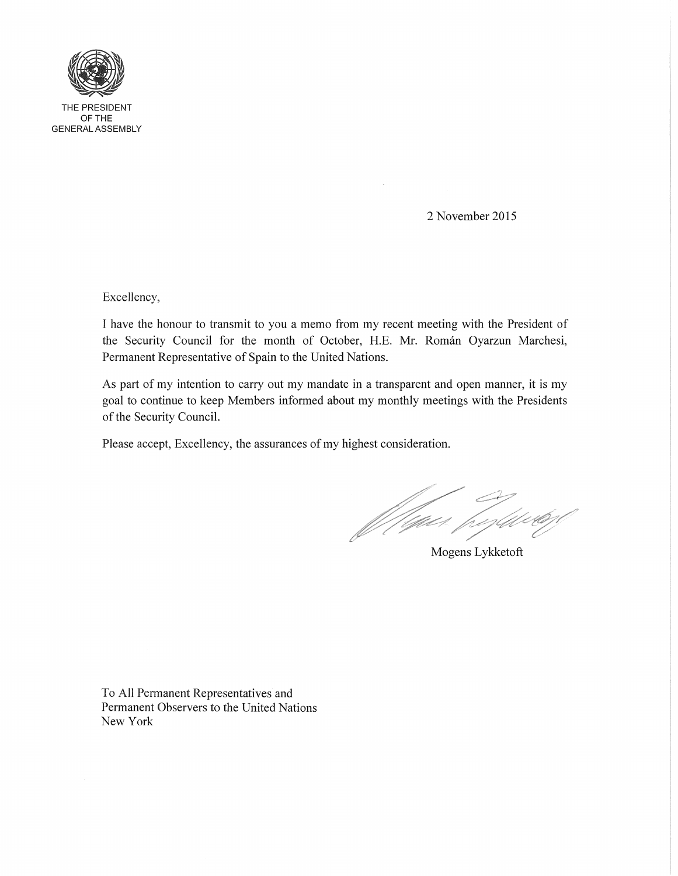

OFTHE GENERAL ASSEMBLY

2 November 2015

Excellency,

I have the honour to transmit to you a memo from my recent meeting with the President of the Security Council for the month of October, H.E. Mr. Roman Oyarzun Marchesi, Permanent Representative of Spain to the United Nations.

As part of my intention to carry out my mandate in a transparent and open manner, it is my goal to continue to keep Members informed about my monthly meetings with the Presidents of the Security Council.

Please accept, Excellency, the assurances of my highest consideration.

f figuer fogstavter

Mogens Lykketoft

To All Permanent Representatives and Permanent Observers to the United Nations New York